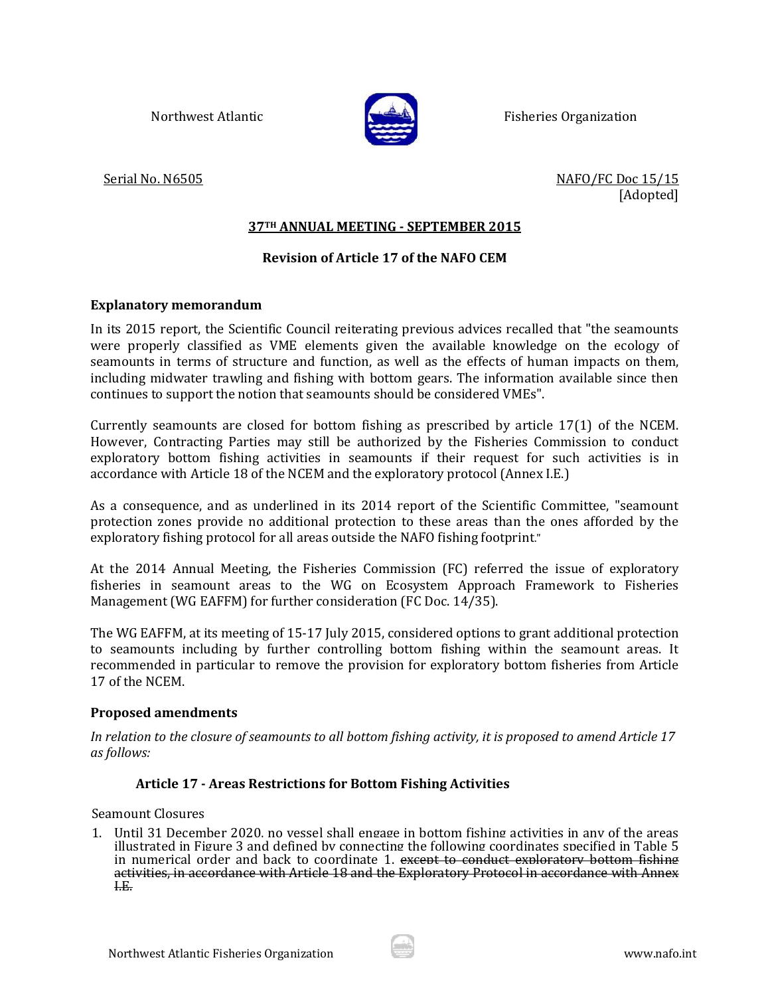

Northwest Atlantic Fisheries Organization

Serial No. N6505 NAFO/FC Doc 15/15 [Adopted]

# **37TH ANNUAL MEETING - SEPTEMBER 2015**

# **Revision of Article 17 of the NAFO CEM**

## **Explanatory memorandum**

In its 2015 report, the Scientific Council reiterating previous advices recalled that "the seamounts were properly classified as VME elements given the available knowledge on the ecology of seamounts in terms of structure and function, as well as the effects of human impacts on them, including midwater trawling and fishing with bottom gears. The information available since then continues to support the notion that seamounts should be considered VMEs".

Currently seamounts are closed for bottom fishing as prescribed by article 17(1) of the NCEM. However, Contracting Parties may still be authorized by the Fisheries Commission to conduct exploratory bottom fishing activities in seamounts if their request for such activities is in accordance with Article 18 of the NCEM and the exploratory protocol (Annex I.E.)

As a consequence, and as underlined in its 2014 report of the Scientific Committee, "seamount protection zones provide no additional protection to these areas than the ones afforded by the exploratory fishing protocol for all areas outside the NAFO fishing footprint."

At the 2014 Annual Meeting, the Fisheries Commission (FC) referred the issue of exploratory fisheries in seamount areas to the WG on Ecosystem Approach Framework to Fisheries Management (WG EAFFM) for further consideration (FC Doc. 14/35).

The WG EAFFM, at its meeting of 15-17 July 2015, considered options to grant additional protection to seamounts including by further controlling bottom fishing within the seamount areas. It recommended in particular to remove the provision for exploratory bottom fisheries from Article 17 of the NCEM.

## **Proposed amendments**

*In relation to the closure of seamounts to all bottom fishing activity, it is proposed to amend Article 17 as follows:*

## **Article 17 - Areas Restrictions for Bottom Fishing Activities**

Seamount Closures

1. Until 31 December 2020, no vessel shall engage in bottom fishing activities in any of the areas illustrated in Figure 3 and defined by connecting the following coordinates specified in Table 5 in numerical order and back to coordinate 1. except to conduct exploratory bottom fishing activities, in accordance with Article 18 and the Exploratory Protocol in accordance with Annex I.E.